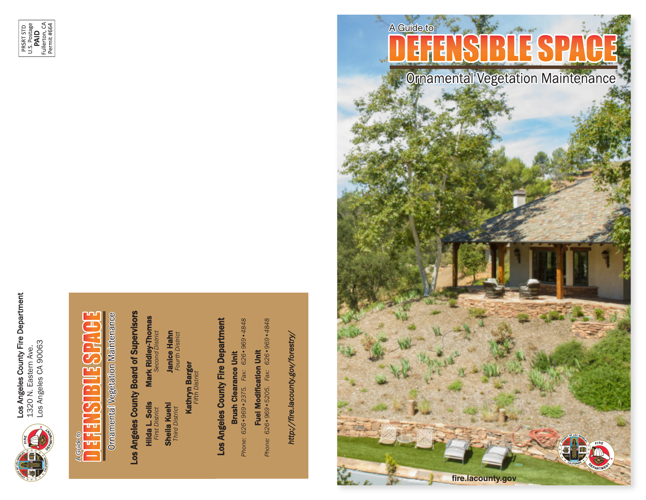

Los Angeles County Fire Department<br>1320 N. Eastern Ave.<br>Los Angeles CA 90063 Los Angeles County Fire Department 1320 N. Eastern Ave.

PRSRT STD<br>U.S. Postage<br>**PAID**<br>Fullerton, CA<br>Permit #664



# DEFENSIBLE SPACE A Guide to<br> **THE THE A** A Guide to <u>u u</u>

**Ornamental Vegetation Maintenance** 

# Los Angeles County Board of Supervisors Los Angeles County Board of Supervisors

--Hilda L. Solis **Hilda L. Solis**<br>First District *First District* Mark Ridley-Thomas *Second District*

**Janice Hahn**<br>Fourth District Janice Hahn *Fourth District* **Sheila Kuehl**<br>Third District Sheila Kuehl *Third District*

Kathryn Barger **Kathryn Barger** *Fifth District* **Fifth District** 

# Los Angeles County Fire Department Los Angeles County Fire Department

Phone: 626 · 969 · 2375. Fax: 626 · 969 · 4848 *Phone: 626•969•2375. Fax: 626•969•4848* Brush Clearance Unit **Brush Clearance Unit** 

Fuel Modification Unit<br>Phone: 626•969•5205. Fax: 626•969•4848 *Phone: 626•969•5205. Fax: 626•969•4848* Fuel Modification Unit

*http://fire.lacounty.gov/forestry/* http://fire.lacounty.gov/forestry/



**Omamental Vegetation Maintenance** 

**fire.lacounty.gov**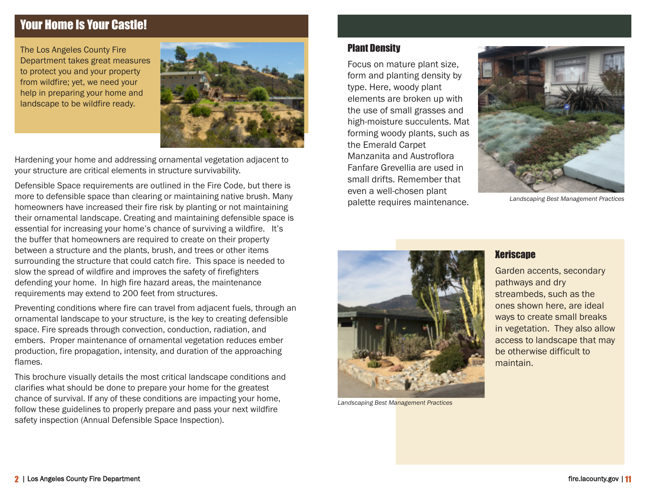# Your Home Is Your Castle!

The Los Angeles County Fire Department takes great measures to protect you and your property from wildfire; yet, we need your help in preparing your home and landscape to be wildfire ready.



Hardening your home and addressing ornamental vegetation adjacent to your structure are critical elements in structure survivability.

Defensible Space requirements are outlined in the Fire Code, but there is more to defensible space than clearing or maintaining native brush. Many homeowners have increased their fire risk by planting or not maintaining their ornamental landscape. Creating and maintaining defensible space is essential for increasing your home's chance of surviving a wildfire. It's the buffer that homeowners are required to create on their property between a structure and the plants, brush, and trees or other items surrounding the structure that could catch fire. This space is needed to slow the spread of wildfire and improves the safety of firefighters defending your home. In high fire hazard areas, the maintenance requirements may extend to 200 feet from structures.

Preventing conditions where fire can travel from adjacent fuels, through an ornamental landscape to your structure, is the key to creating defensible space. Fire spreads through convection, conduction, radiation, and embers. Proper maintenance of ornamental vegetation reduces ember production, fire propagation, intensity, and duration of the approaching flames.

This brochure visually details the most critical landscape conditions and clarifies what should be done to prepare your home for the greatest chance of survival. If any of these conditions are impacting your home, follow these guidelines to properly prepare and pass your next wildfire safety inspection (Annual Defensible Space Inspection).

#### Plant Density

Focus on mature plant size, form and planting density by type. Here, woody plant elements are broken up with the use of small grasses and high-moisture succulents. Mat forming woody plants, such as the Emerald Carpet Manzanita and Austroflora Fanfare Grevellia are used in small drifts. Remember that even a well-chosen plant palette requires maintenance.



*Landscaping Best Management Practices*



*Landscaping Best Management Practices*

#### **Xeriscape**

Garden accents, secondary pathways and dry streambeds, such as the ones shown here, are ideal ways to create small breaks in vegetation. They also allow access to landscape that may be otherwise difficult to maintain.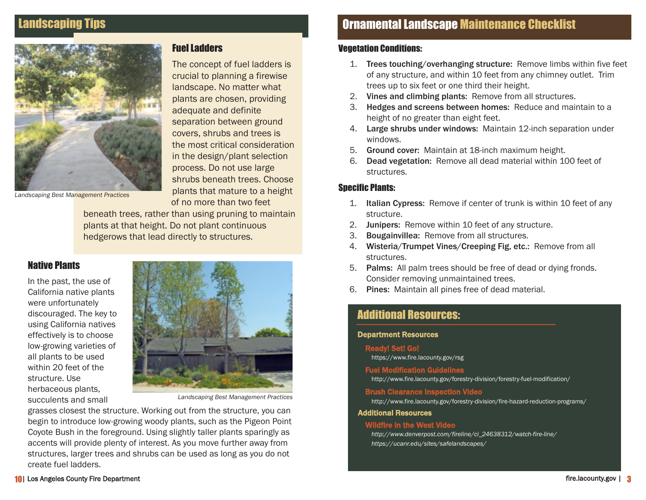#### Landscaping Tips



Fuel Ladders

The concept of fuel ladders is crucial to planning a firewise landscape. No matter what plants are chosen, providing adequate and definite separation between ground covers, shrubs and trees is the most critical consideration in the design/plant selection process. Do not use large shrubs beneath trees. Choose plants that mature to a height of no more than two feet

*Landscaping Best Management Practices*

beneath trees, rather than using pruning to maintain plants at that height. Do not plant continuous hedgerows that lead directly to structures.

#### Native Plants

In the past, the use of California native plants were unfortunately discouraged. The key to using California natives effectively is to choose low-growing varieties of all plants to be used within 20 feet of the structure. Use herbaceous plants, succulents and small



*Landscaping Best Management Practices*

grasses closest the structure. Working out from the structure, you can begin to introduce low-growing woody plants, such as the Pigeon Point Coyote Bush in the foreground. Using slightly taller plants sparingly as accents will provide plenty of interest. As you move further away from structures, larger trees and shrubs can be used as long as you do not create fuel ladders.

# Ornamental Landscape Maintenance Checklist

#### Vegetation Conditions:

- 1. Trees touching/overhanging structure: Remove limbs within five feet of any structure, and within 10 feet from any chimney outlet. Trim trees up to six feet or one third their height.
- 2. Vines and climbing plants: Remove from all structures.
- 3. Hedges and screens between homes: Reduce and maintain to a height of no greater than eight feet.
- 4. Large shrubs under windows: Maintain 12-inch separation under windows.
- 5. Ground cover: Maintain at 18-inch maximum height.
- 6. Dead vegetation: Remove all dead material within 100 feet of structures.

#### Specific Plants:

- 1. Italian Cypress: Remove if center of trunk is within 10 feet of any structure.
- 2. Junipers: Remove within 10 feet of any structure.
- 3. Bougainvillea: Remove from all structures.
- 4. Wisteria/Trumpet Vines/Creeping Fig, etc.: Remove from all structures.
- 5. Palms: All palm trees should be free of dead or dying fronds. Consider removing unmaintained trees.
- 6. Pines: Maintain all pines free of dead material.

#### Additional Resources:

#### Department Resources

#### Ready! Set! Go!

https://www.fire.lacounty.gov/rsg

#### Fuel Modification Guidelines

http://www.fire.lacounty.gov/forestry-division/forestry-fuel-modification/

#### Brush Clearance Inspection Video

http://www.fire.lacounty.gov/forestry-division/fire-hazard-reduction-programs/

#### Additional Resources

#### Wildfire in the West Video

 *http://www.denverpost.com/fireline/ci\_24638312/watch-fire-line/ https://ucanr.edu/sites/safelandscapes/*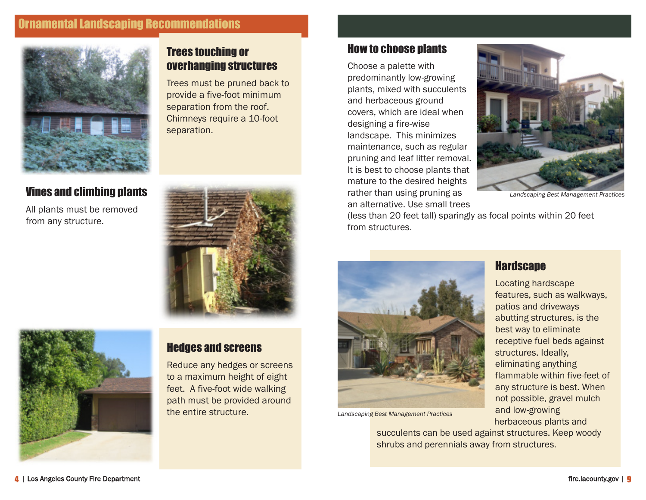# Ornamental Landscaping Recommendations



#### Vines and climbing plants

All plants must be removed from any structure.



#### Trees touching or overhanging structures

Trees must be pruned back to provide a five-foot minimum separation from the roof. Chimneys require a 10-foot separation.



# Hedges and screens

Reduce any hedges or screens to a maximum height of eight feet. A five-foot wide walking path must be provided around the entire structure.

#### How to choose plants

Choose a palette with predominantly low-growing plants, mixed with succulents and herbaceous ground covers, which are ideal when designing a fire-wise landscape. This minimizes maintenance, such as regular pruning and leaf litter removal. It is best to choose plants that mature to the desired heights rather than using pruning as an alternative. Use small trees



*Landscaping Best Management Practices*

(less than 20 feet tall) sparingly as focal points within 20 feet from structures.



*Landscaping Best Management Practices*

succulents can be used against structures. Keep woody shrubs and perennials away from structures.

**Hardscape** 

Locating hardscape features, such as walkways, patios and driveways abutting structures, is the best way to eliminate receptive fuel beds against structures. Ideally, eliminating anything flammable within five-feet of any structure is best. When not possible, gravel mulch and low-growing herbaceous plants and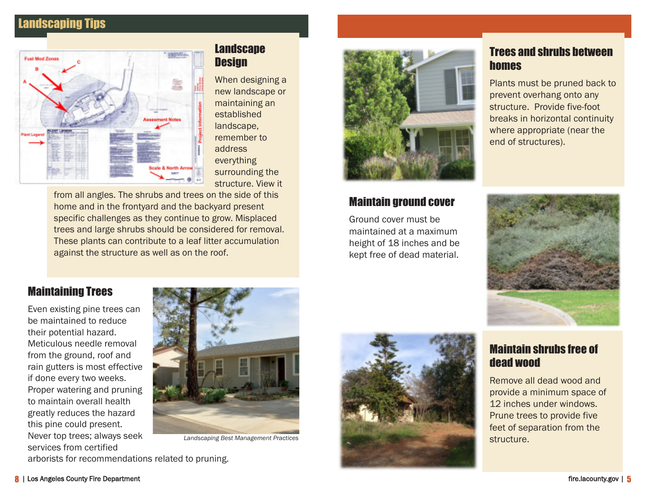# Landscaping Tips



#### **Landscape Design**

When designing a new landscape or maintaining an established landscape, remember to address everything surrounding the structure. View it

from all angles. The shrubs and trees on the side of this home and in the frontyard and the backyard present specific challenges as they continue to grow. Misplaced trees and large shrubs should be considered for removal. These plants can contribute to a leaf litter accumulation against the structure as well as on the roof.



#### Maintain ground cover

Ground cover must be maintained at a maximum height of 18 inches and be kept free of dead material.

## Trees and shrubs between homes

Plants must be pruned back to prevent overhang onto any structure. Provide five-foot breaks in horizontal continuity where appropriate (near the end of structures).



# Maintaining Trees

Even existing pine trees can be maintained to reduce their potential hazard. Meticulous needle removal from the ground, roof and rain gutters is most effective if done every two weeks. Proper watering and pruning to maintain overall health greatly reduces the hazard this pine could present. Never top trees; always seek services from certified



*Landscaping Best Management Practices*

arborists for recommendations related to pruning.



# Maintain shrubs free of dead wood

Remove all dead wood and provide a minimum space of 12 inches under windows. Prune trees to provide five feet of separation from the structure.